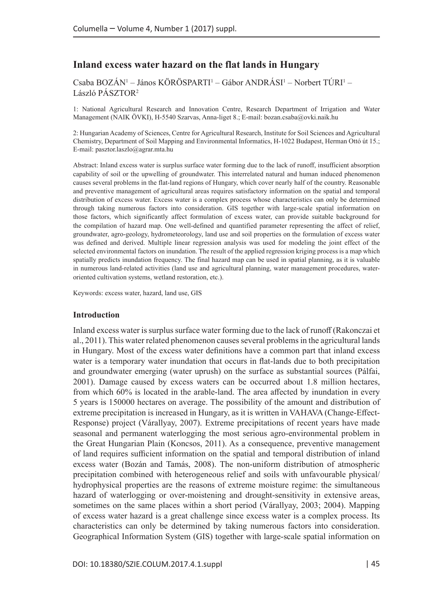# **Inland excess water hazard on the flat lands in Hungary**

Csaba BOZÁN<sup>1</sup> – János KÖRÖSPARTI<sup>1</sup> – Gábor ANDRÁSI<sup>1</sup> – Norbert TÚRI<sup>1</sup> – László PÁSZTOR2

1: National Agricultural Research and Innovation Centre, Research Department of Irrigation and Water Management (NAIK ÖVKI), H-5540 Szarvas, Anna-liget 8.; E-mail: [bozan.csaba@ovki.naik.hu](mailto:bozan.csaba@ovki.naik.hu)

2: Hungarian Academy of Sciences, Centre for Agricultural Research, Institute for Soil Sciences and Agricultural Chemistry, Department of Soil Mapping and Environmental Informatics, H-1022 Budapest, Herman Ottó út 15.; E-mail: [pasztor.laszlo@agrar.mta.hu](mailto:pasztor.laszlo@agrar.mta.hu)

Abstract: Inland excess water is surplus surface water forming due to the lack of runoff, insufficient absorption capability of soil or the upwelling of groundwater. This interrelated natural and human induced phenomenon causes several problems in the flat-land regions of Hungary, which cover nearly half of the country. Reasonable and preventive management of agricultural areas requires satisfactory information on the spatial and temporal distribution of excess water. Excess water is a complex process whose characteristics can only be determined through taking numerous factors into consideration. GIS together with large-scale spatial information on those factors, which significantly affect formulation of excess water, can provide suitable background for the compilation of hazard map. One well-defined and quantified parameter representing the affect of relief, groundwater, agro-geology, hydrometeorology, land use and soil properties on the formulation of excess water was defined and derived. Multiple linear regression analysis was used for modeling the joint effect of the selected environmental factors on inundation. The result of the applied regression kriging process is a map which spatially predicts inundation frequency. The final hazard map can be used in spatial planning, as it is valuable in numerous land-related activities (land use and agricultural planning, water management procedures, wateroriented cultivation systems, wetland restoration, etc.).

Keywords: excess water, hazard, land use, GIS

#### **Introduction**

Inland excess water is surplus surface water forming due to the lack of runoff (Rakonczai et al., 2011). This water related phenomenon causes several problems in the agricultural lands in Hungary. Most of the excess water definitions have a common part that inland excess water is a temporary water inundation that occurs in flat-lands due to both precipitation and groundwater emerging (water uprush) on the surface as substantial sources (Pálfai, 2001). Damage caused by excess waters can be occurred about 1.8 million hectares, from which 60% is located in the arable-land. The area affected by inundation in every 5 years is 150000 hectares on average. The possibility of the amount and distribution of extreme precipitation is increased in Hungary, as it is written in VAHAVA (Change-Effect-Response) project (Várallyay, 2007). Extreme precipitations of recent years have made seasonal and permanent waterlogging the most serious agro-environmental problem in the Great Hungarian Plain (Koncsos, 2011). As a consequence, preventive management of land requires sufficient information on the spatial and temporal distribution of inland excess water (Bozán and Tamás, 2008). The non-uniform distribution of atmospheric precipitation combined with heterogeneous relief and soils with unfavourable physical/ hydrophysical properties are the reasons of extreme moisture regime: the simultaneous hazard of waterlogging or over-moistening and drought-sensitivity in extensive areas, sometimes on the same places within a short period (Várallyay, 2003; 2004). Mapping of excess water hazard is a great challenge since excess water is a complex process. Its characteristics can only be determined by taking numerous factors into consideration. Geographical Information System (GIS) together with large-scale spatial information on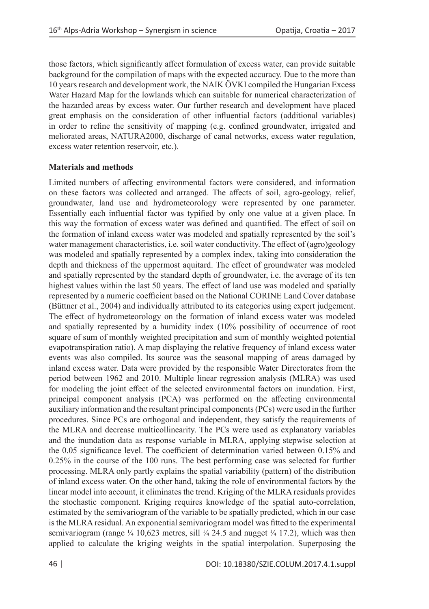those factors, which significantly affect formulation of excess water, can provide suitable background for the compilation of maps with the expected accuracy. Due to the more than 10 years research and development work, the NAIK ÖVKI compiled the Hungarian Excess Water Hazard Map for the lowlands which can suitable for numerical characterization of the hazarded areas by excess water. Our further research and development have placed great emphasis on the consideration of other influential factors (additional variables) in order to refine the sensitivity of mapping (e.g. confined groundwater, irrigated and meliorated areas, NATURA2000, discharge of canal networks, excess water regulation, excess water retention reservoir, etc.).

# **Materials and methods**

Limited numbers of affecting environmental factors were considered, and information on these factors was collected and arranged. The affects of soil, agro-geology, relief, groundwater, land use and hydrometeorology were represented by one parameter. Essentially each influential factor was typified by only one value at a given place. In this way the formation of excess water was defined and quantified. The effect of soil on the formation of inland excess water was modeled and spatially represented by the soil's water management characteristics, i.e. soil water conductivity. The effect of (agro)geology was modeled and spatially represented by a complex index, taking into consideration the depth and thickness of the uppermost aquitard. The effect of groundwater was modeled and spatially represented by the standard depth of groundwater, i.e. the average of its ten highest values within the last 50 years. The effect of land use was modeled and spatially represented by a numeric coefficient based on the National CORINE Land Cover database (Büttner et al., 2004) and individually attributed to its categories using expert judgement. The effect of hydrometeorology on the formation of inland excess water was modeled and spatially represented by a humidity index (10% possibility of occurrence of root square of sum of monthly weighted precipitation and sum of monthly weighted potential evapotranspiration ratio). A map displaying the relative frequency of inland excess water events was also compiled. Its source was the seasonal mapping of areas damaged by inland excess water. Data were provided by the responsible Water Directorates from the period between 1962 and 2010. Multiple linear regression analysis (MLRA) was used for modeling the joint effect of the selected environmental factors on inundation. First, principal component analysis (PCA) was performed on the affecting environmental auxiliary information and the resultant principal components (PCs) were used in the further procedures. Since PCs are orthogonal and independent, they satisfy the requirements of the MLRA and decrease multicollinearity. The PCs were used as explanatory variables and the inundation data as response variable in MLRA, applying stepwise selection at the 0.05 significance level. The coefficient of determination varied between 0.15% and 0.25% in the course of the 100 runs. The best performing case was selected for further processing. MLRA only partly explains the spatial variability (pattern) of the distribution of inland excess water. On the other hand, taking the role of environmental factors by the linear model into account, it eliminates the trend. Kriging of the MLRA residuals provides the stochastic component. Kriging requires knowledge of the spatial auto-correlation, estimated by the semivariogram of the variable to be spatially predicted, which in our case is the MLRA residual. An exponential semivariogram model was fitted to the experimental semivariogram (range  $\frac{1}{4}$  10,623 metres, sill  $\frac{1}{4}$  24.5 and nugget  $\frac{1}{4}$  17.2), which was then applied to calculate the kriging weights in the spatial interpolation. Superposing the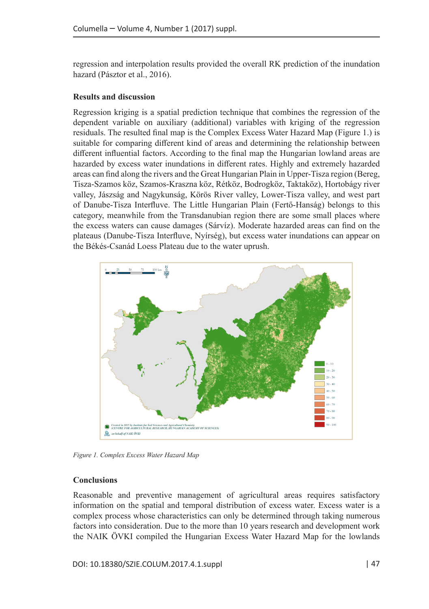regression and interpolation results provided the overall RK prediction of the inundation hazard (Pásztor et al., 2016).

## **Results and discussion**

Regression kriging is a spatial prediction technique that combines the regression of the dependent variable on auxiliary (additional) variables with kriging of the regression residuals. The resulted final map is the Complex Excess Water Hazard Map (Figure 1.) is suitable for comparing different kind of areas and determining the relationship between different influential factors. According to the final map the Hungarian lowland areas are hazarded by excess water inundations in different rates. Highly and extremely hazarded areas can find along the rivers and the Great Hungarian Plain in Upper-Tisza region (Bereg, Tisza-Szamos köz, Szamos-Kraszna köz, Rétköz, Bodrogköz, Taktaköz), Hortobágy river valley, Jászság and Nagykunság, Körös River valley, Lower-Tisza valley, and west part of Danube-Tisza Interfluve. The Little Hungarian Plain (Fertő-Hanság) belongs to this category, meanwhile from the Transdanubian region there are some small places where the excess waters can cause damages (Sárvíz). Moderate hazarded areas can find on the plateaus (Danube-Tisza Interfluve, Nyírség), but excess water inundations can appear on the Békés-Csanád Loess Plateau due to the water uprush.



*Figure 1. Complex Excess Water Hazard Map*

### **Conclusions**

Reasonable and preventive management of agricultural areas requires satisfactory information on the spatial and temporal distribution of excess water. Excess water is a complex process whose characteristics can only be determined through taking numerous factors into consideration. Due to the more than 10 years research and development work the NAIK ÖVKI compiled the Hungarian Excess Water Hazard Map for the lowlands